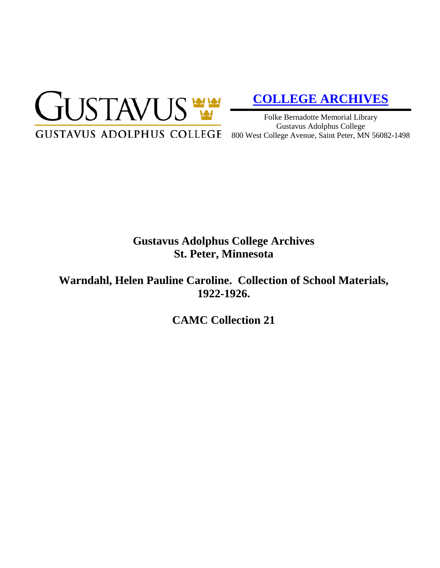

# **[COLLEGE ARCHIVES](http://gustavus.edu/academics/library/archives/)**

Folke Bernadotte Memorial Library Gustavus Adolphus College 800 West College Avenue, Saint Peter, MN 56082-1498

# **Gustavus Adolphus College Archives St. Peter, Minnesota**

**Warndahl, Helen Pauline Caroline. Collection of School Materials, 1922-1926.**

**CAMC Collection 21**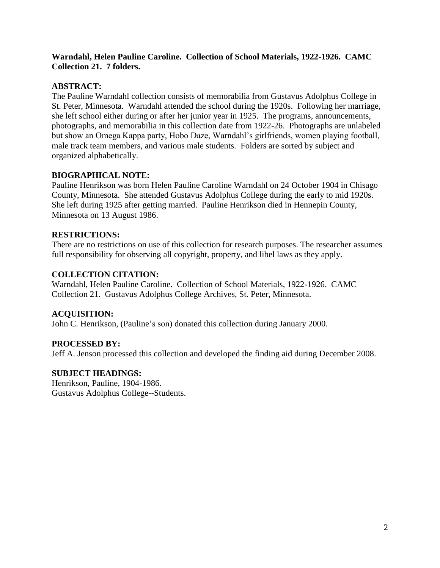#### **Warndahl, Helen Pauline Caroline. Collection of School Materials, 1922-1926. CAMC Collection 21. 7 folders.**

#### **ABSTRACT:**

The Pauline Warndahl collection consists of memorabilia from Gustavus Adolphus College in St. Peter, Minnesota. Warndahl attended the school during the 1920s. Following her marriage, she left school either during or after her junior year in 1925. The programs, announcements, photographs, and memorabilia in this collection date from 1922-26. Photographs are unlabeled but show an Omega Kappa party, Hobo Daze, Warndahl's girlfriends, women playing football, male track team members, and various male students. Folders are sorted by subject and organized alphabetically.

# **BIOGRAPHICAL NOTE:**

Pauline Henrikson was born Helen Pauline Caroline Warndahl on 24 October 1904 in Chisago County, Minnesota. She attended Gustavus Adolphus College during the early to mid 1920s. She left during 1925 after getting married. Pauline Henrikson died in Hennepin County, Minnesota on 13 August 1986.

# **RESTRICTIONS:**

There are no restrictions on use of this collection for research purposes. The researcher assumes full responsibility for observing all copyright, property, and libel laws as they apply.

#### **COLLECTION CITATION:**

Warndahl, Helen Pauline Caroline. Collection of School Materials, 1922-1926. CAMC Collection 21. Gustavus Adolphus College Archives, St. Peter, Minnesota.

# **ACQUISITION:**

John C. Henrikson, (Pauline's son) donated this collection during January 2000.

# **PROCESSED BY:**

Jeff A. Jenson processed this collection and developed the finding aid during December 2008.

# **SUBJECT HEADINGS:**

Henrikson, Pauline, 1904-1986. Gustavus Adolphus College--Students.